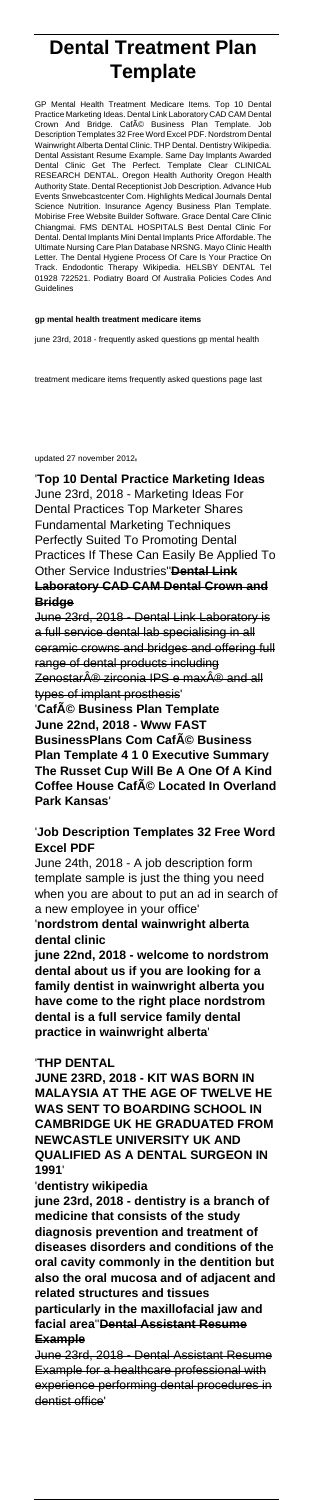# **Dental Treatment Plan Template**

GP Mental Health Treatment Medicare Items. Top 10 Dental Practice Marketing Ideas. Dental Link Laboratory CAD CAM Dental Crown And Bridge. CafA© Business Plan Template. Job Description Templates 32 Free Word Excel PDF. Nordstrom Dental Wainwright Alberta Dental Clinic. THP Dental. Dentistry Wikipedia. Dental Assistant Resume Example. Same Day Implants Awarded Dental Clinic Get T<br>RESEARCH DENTAL Reform Health Authority Oregon Health Authority State. Dental Receptionist Job Description. Advance Hub Events Snwebcastcenter Com. Highlights Medical Journals Dental Science Nutrition. Insurance Agency Business Plan Template. Mobirise Free Website Builder Software. Grace Dental Care Clinic Chiangmai. FMS DENTAL HOSPITALS Best Dental Clinic For Dental. Dental Implants Mini Dental Implants Price Affordable. The Ultimate Nursing Care Plan Database NRSNG. Mayo Clinic Health Letter. The Dental Hygiene Process Of Care Is Your Practice On Track. Endodontic Therapy Wikipedia. HELSBY DENTAL Tel 01928 722521. Podiatry Board Of Australia Policies Codes And Guidelines

#### **gp mental health treatment medicare items**

june 23rd, 2018 - frequently asked questions gp mental health

treatment medicare items frequently asked questions page last

#### updated 27 november 2012'

'**Top 10 Dental Practice Marketing Ideas** June 23rd, 2018 - Marketing Ideas For Dental Practices Top Marketer Shares Fundamental Marketing Techniques Perfectly Suited To Promoting Dental Practices If These Can Easily Be Applied To Other Service Industries''**Dental Link Laboratory CAD CAM Dental Crown and Bridge**

June 23rd, 2018 - Dental Assistant Resume Example for a healthcare professional with experience performing dental procedures in dentist office'

June 23rd, 2018 - Dental Link Laboratory is a full service dental lab specialising in all ceramic crowns and bridges and offering full range of dental products including Zenostar $\hat{A}$ <sup>®</sup> zirconia IPS e max $\hat{A}$ <sup>®</sup> and all types of implant prosthesis'

'**Café Business Plan Template June 22nd, 2018 - Www FAST BusinessPlans Com Café Business Plan Template 4 1 0 Executive Summary The Russet Cup Will Be A One Of A Kind Coffee House Café Located In Overland Park Kansas**'

# '**Job Description Templates 32 Free Word Excel PDF**

June 24th, 2018 - A job description form template sample is just the thing you need when you are about to put an ad in search of a new employee in your office'

'**nordstrom dental wainwright alberta dental clinic**

**june 22nd, 2018 - welcome to nordstrom dental about us if you are looking for a family dentist in wainwright alberta you have come to the right place nordstrom dental is a full service family dental practice in wainwright alberta**'

#### '**THP DENTAL**

**JUNE 23RD, 2018 - KIT WAS BORN IN MALAYSIA AT THE AGE OF TWELVE HE WAS SENT TO BOARDING SCHOOL IN CAMBRIDGE UK HE GRADUATED FROM NEWCASTLE UNIVERSITY UK AND QUALIFIED AS A DENTAL SURGEON IN 1991**'

'**dentistry wikipedia**

**june 23rd, 2018 - dentistry is a branch of medicine that consists of the study diagnosis prevention and treatment of diseases disorders and conditions of the oral cavity commonly in the dentition but also the oral mucosa and of adjacent and related structures and tissues particularly in the maxillofacial jaw and facial area**''**Dental Assistant Resume Example**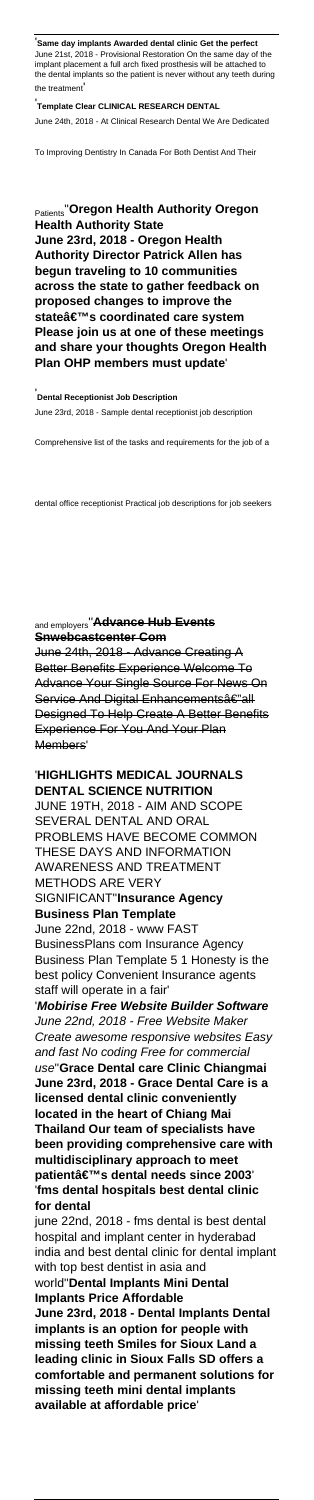'**Same day implants Awarded dental clinic Get the perfect** June 21st, 2018 - Provisional Restoration On the same day of the implant placement a full arch fixed prosthesis will be attached to the dental implants so the patient is never without any teeth during the treatment'

'**Template Clear CLINICAL RESEARCH DENTAL**

June 24th, 2018 - At Clinical Research Dental We Are Dedicated

To Improving Dentistry In Canada For Both Dentist And Their

### Patients''**Oregon Health Authority Oregon Health Authority State June 23rd, 2018 - Oregon Health Authority Director Patrick Allen has begun traveling to 10 communities across the state to gather feedback on proposed changes to improve the** stateâ€<sup>™</sup>s coordinated care system **Please join us at one of these meetings and share your thoughts Oregon Health Plan OHP members must update**'

'**Dental Receptionist Job Description** June 23rd, 2018 - Sample dental receptionist job description

Comprehensive list of the tasks and requirements for the job of a

dental office receptionist Practical job descriptions for job seekers

## and employers''**Advance Hub Events Snwebcastcenter Com**

June 24th, 2018 - Advance Creating A Better Benefits Experience Welcome To Advance Your Single Source For News On Service And Digital Enhancementsâ€"all Designed To Help Create A Better Benefits Experience For You And Your Plan Members'

#### '**HIGHLIGHTS MEDICAL JOURNALS DENTAL SCIENCE NUTRITION** JUNE 19TH, 2018 - AIM AND SCOPE SEVERAL DENTAL AND ORAL PROBLEMS HAVE BECOME COMMON THESE DAYS AND INFORMATION AWARENESS AND TREATMENT METHODS ARE VERY SIGNIFICANT''**Insurance Agency Business Plan Template** June 22nd, 2018 - www FAST BusinessPlans com Insurance Agency Business Plan Template 5 1 Honesty is the best policy Convenient Insurance agents staff will operate in a fair' '**Mobirise Free Website Builder Software** June 22nd, 2018 - Free Website Maker Create awesome responsive websites Easy and fast No coding Free for commercial use''**Grace Dental care Clinic Chiangmai June 23rd, 2018 - Grace Dental Care is a licensed dental clinic conveniently**

**located in the heart of Chiang Mai Thailand Our team of specialists have been providing comprehensive care with multidisciplinary approach to meet** patientâ€<sup>™</sup>s dental needs since 2003 '**fms dental hospitals best dental clinic for dental**

june 22nd, 2018 - fms dental is best dental hospital and implant center in hyderabad india and best dental clinic for dental implant with top best dentist in asia and world''**Dental Implants Mini Dental Implants Price Affordable June 23rd, 2018 - Dental Implants Dental implants is an option for people with missing teeth Smiles for Sioux Land a leading clinic in Sioux Falls SD offers a comfortable and permanent solutions for missing teeth mini dental implants available at affordable price**'